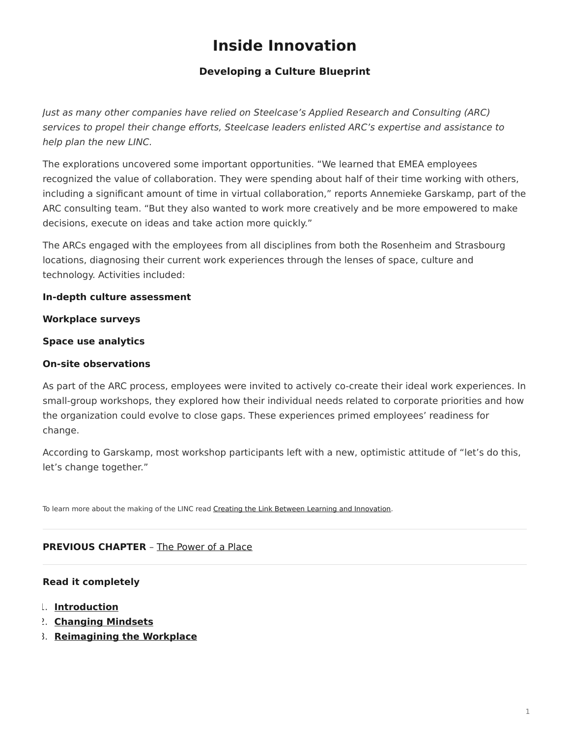## **Inside Innovation**

### **Developing a Culture Blueprint**

<span id="page-0-0"></span>Just as many other companies have relied on Steelcase's Applied Research and Consulting (ARC) services to propel their change efforts, Steelcase leaders enlisted ARC's expertise and assistance to help plan the new LINC.

The explorations uncovered some important opportunities. "We learned that EMEA employees recognized the value of collaboration. They were spending about half of their time working with others, including a significant amount of time in virtual collaboration," reports Annemieke Garskamp, part of the ARC consulting team. "But they also wanted to work more creatively and be more empowered to make decisions, execute on ideas and take action more quickly."

The ARCs engaged with the employees from all disciplines from both the Rosenheim and Strasbourg locations, diagnosing their current work experiences through the lenses of space, culture and technology. Activities included:

#### **In-depth culture assessment**

#### **Workplace surveys**

#### **Space use analytics**

#### **On-site observations**

As part of the ARC process, employees were invited to actively co-create their ideal work experiences. In small-group workshops, they explored how their individual needs related to corporate priorities and how the organization could evolve to close gaps. These experiences primed employees' readiness for change.

According to Garskamp, most workshop participants left with a new, optimistic attitude of "let's do this, let's change together."

To learn more about the making of the LINC read [Creating the Link Between Learning and Innovation](https://www.steelcase.com/research/articles/creating-link-learning-innovation/).

#### **PREVIOUS CHAPTER** – [The Power of a Place](https://www.steelcase.com/research/articles/inside-innovation-power-place/)

#### **Read it completely**

- 1. **[Introduction](https://www.steelcase.com/research/articles/inside-innovation/)**
- 2. **[Changing Mindsets](https://www.steelcase.com/research/articles/inside-innovation-changing-mindsets/)**
- 3. **[Reimagining the Workplace](https://www.steelcase.com/research/articles/inside-innovation-reimagining-workplace/)**